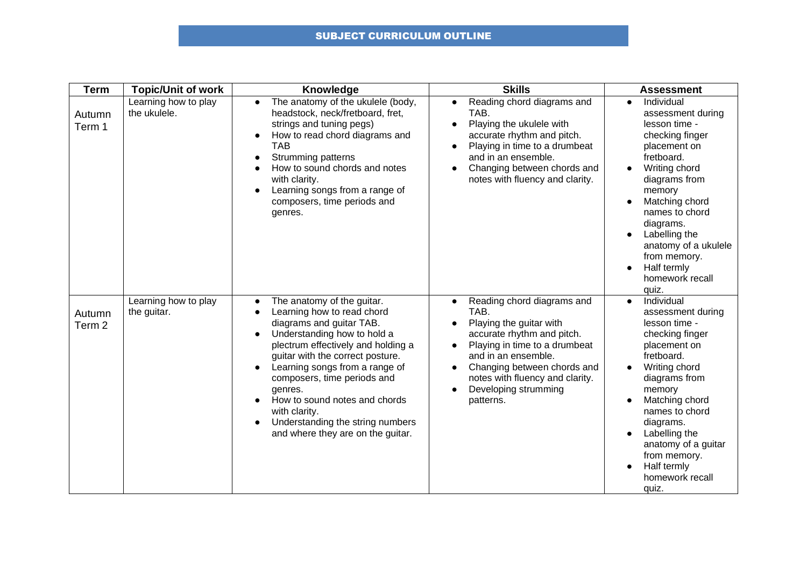## SUBJECT CURRICULUM OUTLINE

| <b>Term</b>                 | <b>Topic/Unit of work</b>            | Knowledge                                                                                                                                                                                                                                                                                                                                                                                            | <b>Skills</b>                                                                                                                                                                                                                                                           | <b>Assessment</b>                                                                                                                                                                                                                                                                                                                                      |
|-----------------------------|--------------------------------------|------------------------------------------------------------------------------------------------------------------------------------------------------------------------------------------------------------------------------------------------------------------------------------------------------------------------------------------------------------------------------------------------------|-------------------------------------------------------------------------------------------------------------------------------------------------------------------------------------------------------------------------------------------------------------------------|--------------------------------------------------------------------------------------------------------------------------------------------------------------------------------------------------------------------------------------------------------------------------------------------------------------------------------------------------------|
| Autumn<br>Term 1            | Learning how to play<br>the ukulele. | The anatomy of the ukulele (body,<br>$\bullet$<br>headstock, neck/fretboard, fret,<br>strings and tuning pegs)<br>How to read chord diagrams and<br><b>TAB</b><br>Strumming patterns<br>How to sound chords and notes<br>with clarity.<br>Learning songs from a range of<br>composers, time periods and<br>genres.                                                                                   | Reading chord diagrams and<br>$\bullet$<br>TAB.<br>Playing the ukulele with<br>accurate rhythm and pitch.<br>Playing in time to a drumbeat<br>and in an ensemble.<br>Changing between chords and<br>notes with fluency and clarity.                                     | Individual<br>$\bullet$<br>assessment during<br>lesson time -<br>checking finger<br>placement on<br>fretboard.<br>Writing chord<br>$\bullet$<br>diagrams from<br>memory<br>Matching chord<br>names to chord<br>diagrams.<br>Labelling the<br>$\bullet$<br>anatomy of a ukulele<br>from memory.<br>Half termly<br>$\bullet$<br>homework recall<br>quiz. |
| Autumn<br>Term <sub>2</sub> | Learning how to play<br>the guitar.  | The anatomy of the guitar.<br>Learning how to read chord<br>diagrams and guitar TAB.<br>Understanding how to hold a<br>plectrum effectively and holding a<br>guitar with the correct posture.<br>Learning songs from a range of<br>composers, time periods and<br>genres.<br>How to sound notes and chords<br>with clarity.<br>Understanding the string numbers<br>and where they are on the guitar. | Reading chord diagrams and<br>$\bullet$<br>TAB.<br>Playing the guitar with<br>accurate rhythm and pitch.<br>Playing in time to a drumbeat<br>and in an ensemble.<br>Changing between chords and<br>notes with fluency and clarity.<br>Developing strumming<br>patterns. | Individual<br>$\bullet$<br>assessment during<br>lesson time -<br>checking finger<br>placement on<br>fretboard.<br>Writing chord<br>diagrams from<br>memory<br>Matching chord<br>$\bullet$<br>names to chord<br>diagrams.<br>Labelling the<br>$\bullet$<br>anatomy of a guitar<br>from memory.<br>Half termly<br>$\bullet$<br>homework recall<br>quiz.  |